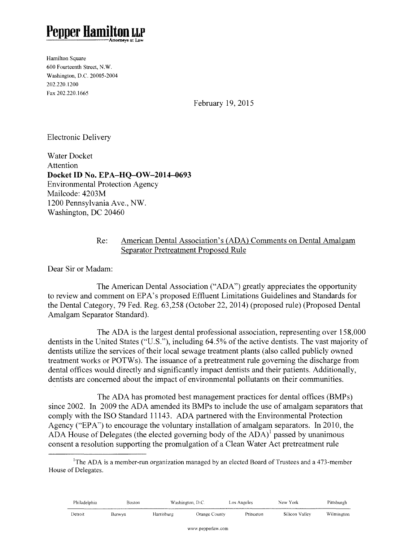# **Pepper Hamilto**

Hamilton Square 600 Fourteenth Street, N.W. Washington, D.C. 20005-2004 202.220.1200 Fax 202.220.1665

February 19, 2015

Electronic Delivery

Water Docket Attention **Docket ID No. EPA-HO-OW-2014-0693** Environmental Protection Agency Mailcode: 4203M 1200 Pennsylvania Ave., NW. Washington, DC 20460

#### Re: American Dental Association's (ADA) Comments on Dental Amalgam Separator Pretreatment Proposed Rule

Dear Sir or Madam:

The American Dental Association ("ADA") greatly appreciates the opportunity to review and comment on EPA's proposed Effluent Limitations Guidelines and Standards for the Dental Category, 79 Fed. Reg. 63,258 (October 22, 2014) (proposed rule) (Proposed Dental Amalgam Separator Standard).

The ADA is the largest dental professional association, representing over 158,000 dentists in the United States ("U.S."), including 64.5% of the active dentists. The vast majority of dentists utilize the services of their local sewage treatment plants (also called publicly owned treatment works or POTWs). The issuance of a pretreatment rule governing the discharge from dental offices would directly and significantly impact dentists and their patients. Additionally, dentists are concerned about the impact of environmental pollutants on their communities.

The ADA has promoted best management practices for dental offices (BMPs) since 2002. In 2009 the ADA amended its BMPs to include the use of amalgam separators that comply with the ISO Standard 11143. ADA partnered with the Environmental Protection Agency ("EPA") to encourage the voluntary installation of amalgam separators. In 2010, the ADA House of Delegates (the elected governing body of the  $ADA$ )<sup>1</sup> passed by unanimous consent a resolution supporting the promulgation of a Clean Water Act pretreatment rule

<sup>&</sup>lt;sup>1</sup>The ADA is a member-run organization managed by an elected Board of Trustees and a 473-member House of Delegates.

| Philadelphia | 3oston | Washington, D.C. |               | Los Angeles | New<br>Y ork   | Pittsburgh |
|--------------|--------|------------------|---------------|-------------|----------------|------------|
| Detroit      | serwyn | Harrisburg       | Orange County | Princeton   | Silicon Valley | Wilmington |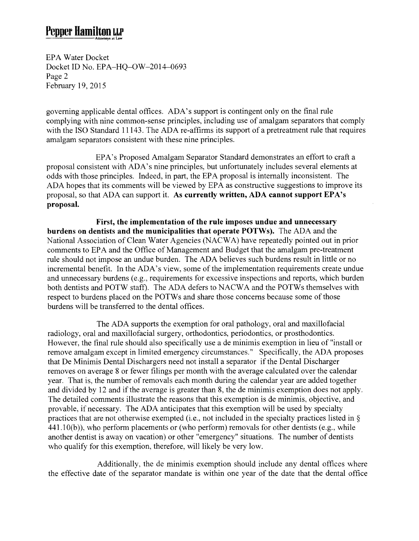## **Pepper Hamilton LLP**  -=----Attomcy5 u Low

EPA Water Docket Docket ID No. EPA-HQ-OW-2014-0693 Page 2 February 19,2015

governing applicable dental offices. ADA's support is contingent only on the final rule complying with nine common-sense principles, including use of amalgam separators that comply with the ISO Standard 11143. The ADA re-affirms its support of a pretreatment rule that requires amalgam separators consistent with these nine principles.

EPA's Proposed Amalgam Separator Standard demonstrates an effort to craft a proposal consistent with ADA's nine principles, but unfortunately includes several elements at odds with those principles. Indeed, in part, the EPA proposal is internally inconsistent. The ADA hopes that its comments will be viewed by EPA as constructive suggestions to improve its proposal, so that ADA can support it. As **currently written, ADA cannot support EPA's proposal.** 

**First, the implementation of the rule imposes undue and unnecessary burdens on dentists and the municipalities that operate POTWs).** The ADA and the National Association of Clean Water Agencies (NACWA) have repeatedly pointed out in prior comments to EPA and the Office of Management and Budget that the amalgam pre-treatment rule should not impose an undue burden. The ADA believes such burdens result in little or no incremental benefit. In the ADA's view, some of the implementation requirements create undue and unnecessary burdens (e.g., requirements for excessive inspections and reports, which burden both dentists and POTW staff). The ADA defers to NACWA and the POTWs themselves with respect to burdens placed on the POTWs and share those concerns because some of those burdens will be transferred to the dental offices.

The ADA supports the exemption for oral pathology, oral and maxillofacial radiology, oral and maxillofacial surgery, orthodontics, periodontics, or prosthodontics. However, the final rule should also specifically use a de minimis exemption in lieu of "install or remove amalgam except in limited emergency circumstances." Specifically, the ADA proposes that De Minimis Dental Dischargers need not install a separator if the Dental Discharger removes on average 8 or fewer filings per month with the average calculated over the calendar year. That is, the number of removals each month during the calendar year are added together and divided by 12 and if the average is greater than 8, the de minimis exemption does not apply. The detailed comments illustrate the reasons that this exemption is de minimis, objective, and provable, if necessary. The ADA anticipates that this exemption will be used by specialty practices that are not otherwise exempted (i.e., not included in the specialty practices listed in§ 441.10(b)), who perform placements or (who perform) removals for other dentists (e.g., while another dentist is away on vacation) or other "emergency" situations. The number of dentists who qualify for this exemption, therefore, will likely be very low.

Additionally, the de minimis exemption should include any dental offices where the effective date of the separator mandate is within one year of the date that the dental office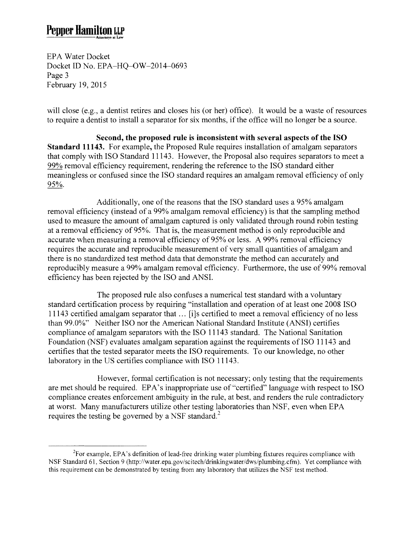EPA Water Docket Docket ID No. EPA-HQ-OW-2014-0693 Page 3 February 19, 2015

will close (e.g., a dentist retires and closes his (or her) office). It would be a waste of resources to require a dentist to install a separator for six months, if the office will no longer be a source.

**Second, the proposed rule is inconsistent with several aspects of the ISO Standard 11143.** For example, the Proposed Rule requires installation of amalgam separators that comply with ISO Standard 11143. However, the Proposal also requires separators to meet a 99% removal efficiency requirement, rendering the reference to the ISO standard either meaningless or confused since the ISO standard requires an amalgam removal efficiency of only 95%.

Additionally, one of the reasons that the ISO standard uses a 95% amalgam removal efficiency (instead of a 99% amalgam removal efficiency) is that the sampling method used to measure the amount of amalgam captured is only validated through round robin testing at a removal efficiency of 95%. That is, the measurement method is only reproducible and accurate when measuring a removal efficiency of 95% or less. A 99% removal efficiency requires the accurate and reproducible measurement of very small quantities of amalgam and there is no standardized test method data that demonstrate the method can accurately and reproducibly measure a 99% amalgam removal efficiency. Furthermore, the use of 99% removal efficiency has been rejected by the ISO and ANSI.

The proposed rule also confuses a numerical test standard with a voluntary standard certification process by requiring "installation and operation of at least one 2008 ISO 11143 certified amalgam separator that ... [i]s certified to meet a removal efficiency of no less than 99.0%" Neither ISO nor the American National Standard Institute (ANSI) certifies compliance of amalgam separators with the ISO 11143 standard. The National Sanitation Foundation (NSF) evaluates amalgam separation against the requirements of ISO 11143 and certifies that the tested separator meets the ISO requirements. To our knowledge, no other laboratory in the US certifies compliance with ISO 11143.

However, formal certification is not necessary; only testing that the requirements are met should be required. EPA's inappropriate use of "certified" language with respect to ISO compliance creates enforcement ambiguity in the rule, at best, and renders the rule contradictory at worst. Many manufacturers utilize other testing laboratories than NSF, even when EPA requires the testing be governed by a NSF standard.<sup>2</sup>

 $2^2$ For example, EPA's definition of lead-free drinking water plumbing fixtures requires compliance with NSF Standard 61, Section 9 (http://water.epa.gov/scitech/drinkingwater/dws/plumbing.cfrn). Yet compliance with this requirement can be demonstrated by testing from any laboratory that utilizes the NSF test method.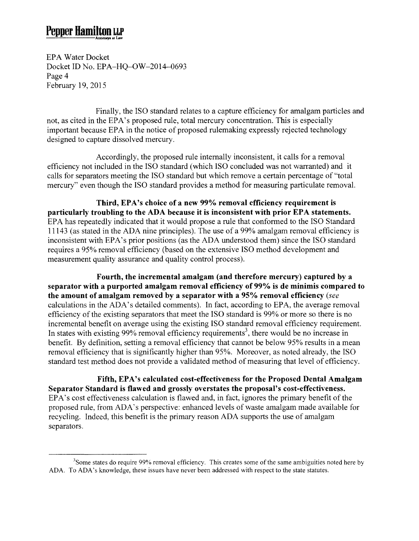EPA Water Docket Docket ID No. EPA-HQ-OW-2014-0693 Page 4 February 19, 2015

Finally, the ISO standard relates to a capture efficiency for amalgam particles and not, as cited in the EPA's proposed rule, total mercury concentration. This is especially important because EPA in the notice of proposed rulemaking expressly rejected technology designed to capture dissolved mercury.

Accordingly, the proposed rule internally inconsistent, it calls for a removal efficiency not included in the ISO standard (which ISO concluded was not warranted) and it calls for separators meeting the ISO standard but which remove a certain percentage of "total mercury" even though the ISO standard provides a method for measuring particulate removal.

**Third, EPA's choice of a new 99% removal efficiency requirement is particularly troubling to the ADA because it is inconsistent with prior EPA statements.**  EPA has repeatedly indicated that it would propose a rule that conformed to the ISO Standard 11143 (as stated in the ADA nine principles). The use of a 99% amalgam removal efficiency is inconsistent with EPA's prior positions (as the ADA understood them) since the ISO standard requires a 95% removal efficiency (based on the extensive ISO method development and measurement quality assurance and quality control process).

**Fourth, the incremental amalgam (and therefore mercury) captured by a separator with a purported amalgam removal efficiency of 99% is de minimis compared to the amount of amalgam removed by a separator with a 95% removal efficiency** *(see*  calculations in the ADA's detailed comments). In fact, according to EPA, the average removal efficiency of the existing separators that meet the ISO standard is 99% or more so there is no incremental benefit on average using the existing ISO standard removal efficiency requirement. In states with existing 99% removal efficiency requirements<sup>3</sup>, there would be no increase in benefit. By definition, setting a removal efficiency that cannot be below 95% results in a mean removal efficiency that is significantly higher than 95%. Moreover, as noted already, the ISO standard test method does not provide a validated method of measuring that level of efficiency.

**Fifth, EPA's calculated cost-effectiveness for the Proposed Dental Amalgam Separator Standard is flawed and grossly overstates the proposal's cost-effectiveness.**  EPA's cost effectiveness calculation is flawed and, in fact, ignores the primary benefit of the proposed rule, from ADA's perspective: enhanced levels of waste amalgam made available for recycling. Indeed, this benefit is the primary reason ADA supports the use of amalgam separators.

<sup>&</sup>lt;sup>3</sup>Some states do require 99% removal efficiency. This creates some of the same ambiguities noted here by ADA. To ADA's knowledge, these issues have never been addressed with respect to the state statutes.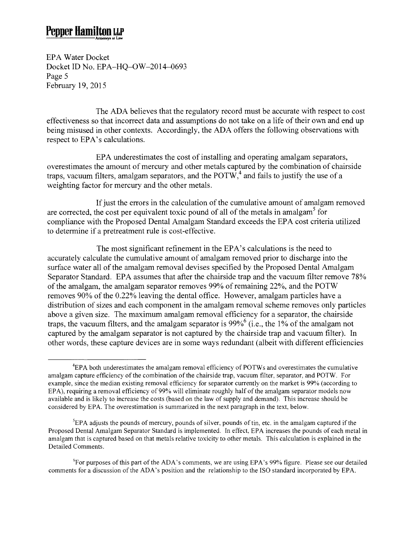EPA Water Docket Docket ID No. EPA-HQ-OW-2014-0693 Page 5 February 19, 2015

The ADA believes that the regulatory record must be accurate with respect to cost effectiveness so that incorrect data and assumptions do not take on a life of their own and end up being misused in other contexts. Accordingly, the ADA offers the following observations with respect to EPA's calculations.

EPA underestimates the cost of installing and operating amalgam separators, overestimates the amount of mercury and other metals captured by the combination of chairside traps, vacuum filters, amalgam separators, and the POTW,<sup>4</sup> and fails to justify the use of a weighting factor for mercury and the other metals.

If just the errors in the calculation of the cumulative amount of amalgam removed are corrected, the cost per equivalent toxic pound of all of the metals in amalgam<sup>5</sup> for compliance with the Proposed Dental Amalgam Standard exceeds the EPA cost criteria utilized to determine if a pretreatment rule is cost-effective.

The most significant refinement in the EPA's calculations is the need to accurately calculate the cumulative amount of amalgam removed prior to discharge into the surface water all of the amalgam removal devises specified by the Proposed Dental Amalgam Separator Standard. EPA assumes that after the chairside trap and the vacuum filter remove 78% of the amalgam, the amalgam separator removes 99% of remaining 22%, and the POTW removes 90% of the 0.22% leaving the dental office. However, amalgam particles have a distribution of sizes and each component in the amalgam removal scheme removes only particles above a given size. The maximum amalgam removal efficiency for a separator, the chairside traps, the vacuum filters, and the amalgam separator is  $99\%$ <sup>6</sup> (i.e., the 1% of the amalgam not captured by the amalgam separator is not captured by the chairside trap and vacuum filter). In other words, these capture devices are in some ways redundant (albeit with different efficiencies

<sup>&</sup>lt;sup>4</sup>EPA both underestimates the amalgam removal efficiency of POTWs and overestimates the cumulative amalgam capture efficiency of the combination of the chairside trap, vacuum filter, separator, and POTW. For example, since the median existing removal efficiency for separator currently on the market is 99% (according to EPA), requiring a removal efficiency of 99% will eliminate roughly half of the amalgam separator models now available and is likely to increase the costs (based on the law of supply and demand). This increase should be considered by EPA. The overestimation is summarized in the next paragraph in the text, below.

 ${}^{5}$ EPA adjusts the pounds of mercury, pounds of silver, pounds of tin, etc. in the amalgam captured if the Proposed Dental Amalgam Separator Standard is implemented. In effect, EPA increases the pounds of each metal in amalgam that is captured based on that metals relative toxicity to other metals. This calculation is explained in the Detailed Comments.

<sup>&</sup>lt;sup>6</sup>For purposes of this part of the ADA's comments, we are using EPA's 99% figure. Please see our detailed comments for a discussion of the ADA's position and the relationship to the ISO standard incorporated by EPA.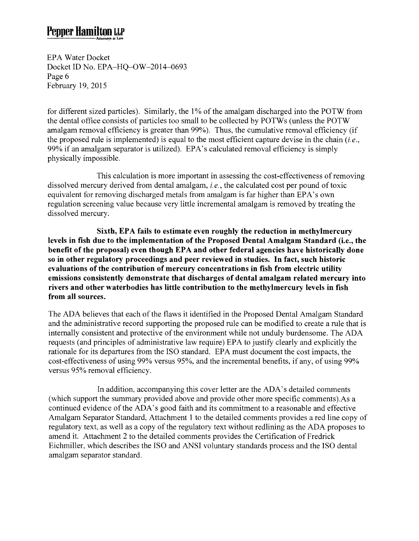EPA Water Docket Docket ID No. EPA-HQ-OW-2014-0693 Page 6 February 19,2015

for different sized particles). Similarly, the 1% of the amalgam discharged into the POTW from the dental office consists of particles too small to be collected by POTWs (unless the POTW amalgam removal efficiency is greater than 99%). Thus, the cumulative removal efficiency (if the proposed rule is implemented) is equal to the most efficient capture devise in the chain *(i.e.,*  99% if an amalgam separator is utilized). EPA's calculated removal efficiency is simply physically impossible.

This calculation is more important in assessing the cost-effectiveness of removing dissolved mercury derived from dental amalgam, *i.e.,* the calculated cost per pound of toxic equivalent for removing discharged metals from amalgam is far higher than EPA's own regulation screening value because very little incremental amalgam is removed by treating the dissolved mercury.

**Sixth, EPA fails to estimate even roughly the reduction in methylmercury levels in fish due to the implementation of the Proposed Dental Amalgam Standard (i.e., the benefit of the proposal) even though EPA and other federal agencies have historically done so in other regulatory proceedings and peer reviewed in studies. In fact, such historic evaluations of the contribution of mercury concentrations in fish from electric utility emissions consistently demonstrate that discharges of dental amalgam related mercury into rivers and other waterbodies has little contribution to the methylmercury levels in fish from all sources.** 

The ADA believes that each of the flaws it identified in the Proposed Dental Amalgam Standard and the administrative record supporting the proposed rule can be modified to create a rule that is internally consistent and protective of the environment while not unduly burdensome. The ADA requests (and principles of administrative law require) EPA to justify clearly and explicitly the rationale for its departures from the ISO standard. EPA must document the cost impacts, the cost-effectiveness of using 99% versus 95%, and the incremental benefits, if any, of using 99% versus 95% removal efficiency.

In addition, accompanying this cover letter are the ADA's detailed comments (which support the summary provided above and provide other more specific comments).As a continued evidence of the ADA's good faith and its commitment to a reasonable and effective Amalgam Separator Standard, Attachment 1 to the detailed comments provides a red line copy of regulatory text, as well as a copy of the regulatory text without redlining as the ADA proposes to amend it. Attachment 2 to the detailed comments provides the Certification of Fredrick Eichmiller, which describes the ISO and ANSI voluntary standards process and the ISO dental amalgam separator standard.